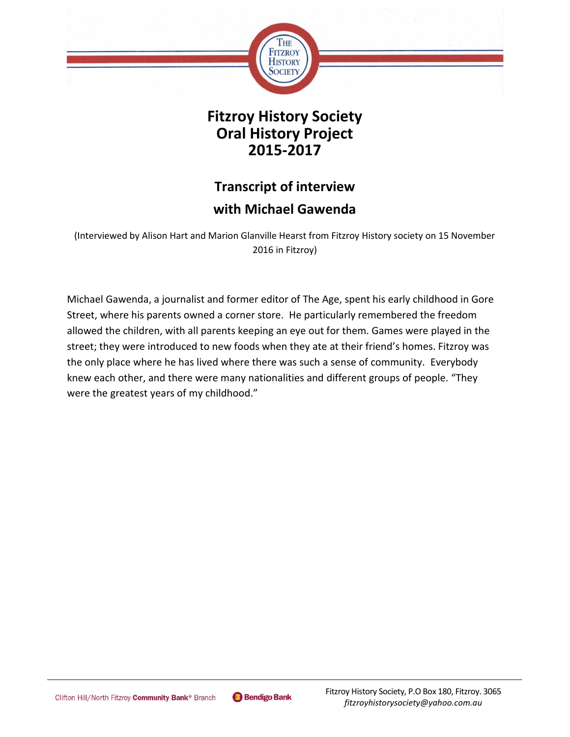

**Fitzroy History Society Oral History Project 2015-2017**

## **Transcript of interview with Michael Gawenda**

(Interviewed by Alison Hart and Marion Glanville Hearst from Fitzroy History society on 15 November 2016 in Fitzroy)

Michael Gawenda, a journalist and former editor of The Age, spent his early childhood in Gore Street, where his parents owned a corner store. He particularly remembered the freedom allowed the children, with all parents keeping an eye out for them. Games were played in the street; they were introduced to new foods when they ate at their friend's homes. Fitzroy was the only place where he has lived where there was such a sense of community. Everybody knew each other, and there were many nationalities and different groups of people. "They were the greatest years of my childhood."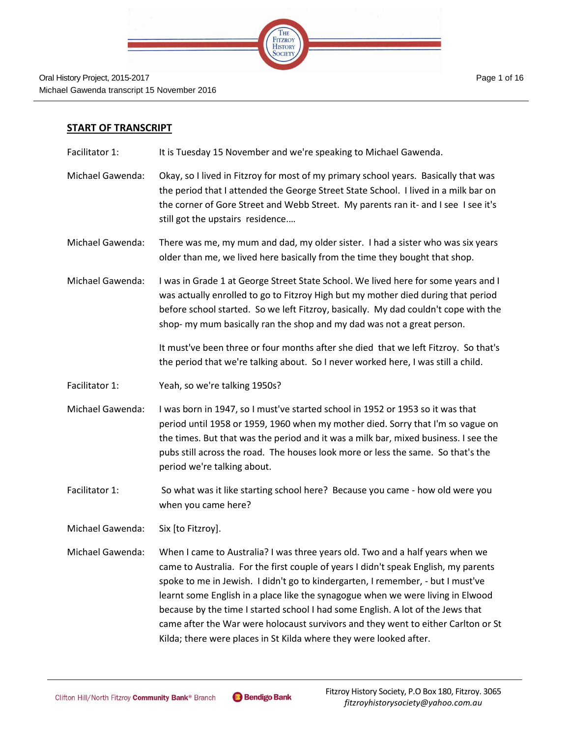

## **START OF TRANSCRIPT**

- Facilitator 1: It is Tuesday 15 November and we're speaking to Michael Gawenda.
- Michael Gawenda: Okay, so I lived in Fitzroy for most of my primary school years. Basically that was the period that I attended the George Street State School. I lived in a milk bar on the corner of Gore Street and Webb Street. My parents ran it- and I see I see it's still got the upstairs residence.…
- Michael Gawenda: There was me, my mum and dad, my older sister. I had a sister who was six years older than me, we lived here basically from the time they bought that shop.
- Michael Gawenda: I was in Grade 1 at George Street State School. We lived here for some years and I was actually enrolled to go to Fitzroy High but my mother died during that period before school started. So we left Fitzroy, basically. My dad couldn't cope with the shop- my mum basically ran the shop and my dad was not a great person.

It must've been three or four months after she died that we left Fitzroy. So that's the period that we're talking about. So I never worked here, I was still a child.

- Facilitator 1: Yeah, so we're talking 1950s?
- Michael Gawenda: I was born in 1947, so I must've started school in 1952 or 1953 so it was that period until 1958 or 1959, 1960 when my mother died. Sorry that I'm so vague on the times. But that was the period and it was a milk bar, mixed business. I see the pubs still across the road. The houses look more or less the same. So that's the period we're talking about.
- Facilitator 1: So what was it like starting school here? Because you came how old were you when you came here?
- Michael Gawenda: Six [to Fitzroy].
- Michael Gawenda: When I came to Australia? I was three years old. Two and a half years when we came to Australia. For the first couple of years I didn't speak English, my parents spoke to me in Jewish. I didn't go to kindergarten, I remember, - but I must've learnt some English in a place like the synagogue when we were living in Elwood because by the time I started school I had some English. A lot of the Jews that came after the War were holocaust survivors and they went to either Carlton or St Kilda; there were places in St Kilda where they were looked after.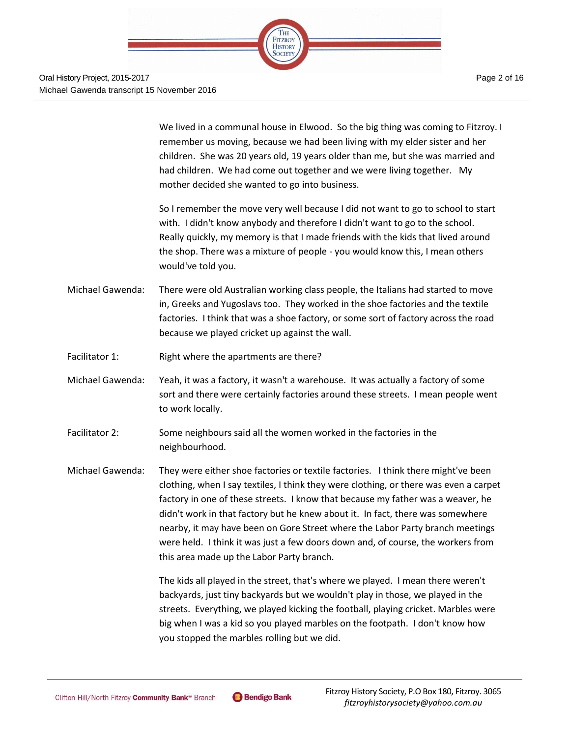

We lived in a communal house in Elwood. So the big thing was coming to Fitzroy. I remember us moving, because we had been living with my elder sister and her children. She was 20 years old, 19 years older than me, but she was married and had children. We had come out together and we were living together. My mother decided she wanted to go into business.

So I remember the move very well because I did not want to go to school to start with. I didn't know anybody and therefore I didn't want to go to the school. Really quickly, my memory is that I made friends with the kids that lived around the shop. There was a mixture of people - you would know this, I mean others would've told you.

- Michael Gawenda: There were old Australian working class people, the Italians had started to move in, Greeks and Yugoslavs too. They worked in the shoe factories and the textile factories. I think that was a shoe factory, or some sort of factory across the road because we played cricket up against the wall.
- Facilitator 1: Right where the apartments are there?
- Michael Gawenda: Yeah, it was a factory, it wasn't a warehouse. It was actually a factory of some sort and there were certainly factories around these streets. I mean people went to work locally.
- Facilitator 2: Some neighbours said all the women worked in the factories in the neighbourhood.
- Michael Gawenda: They were either shoe factories or textile factories. I think there might've been clothing, when I say textiles, I think they were clothing, or there was even a carpet factory in one of these streets. I know that because my father was a weaver, he didn't work in that factory but he knew about it. In fact, there was somewhere nearby, it may have been on Gore Street where the Labor Party branch meetings were held. I think it was just a few doors down and, of course, the workers from this area made up the Labor Party branch.

The kids all played in the street, that's where we played. I mean there weren't backyards, just tiny backyards but we wouldn't play in those, we played in the streets. Everything, we played kicking the football, playing cricket. Marbles were big when I was a kid so you played marbles on the footpath. I don't know how you stopped the marbles rolling but we did.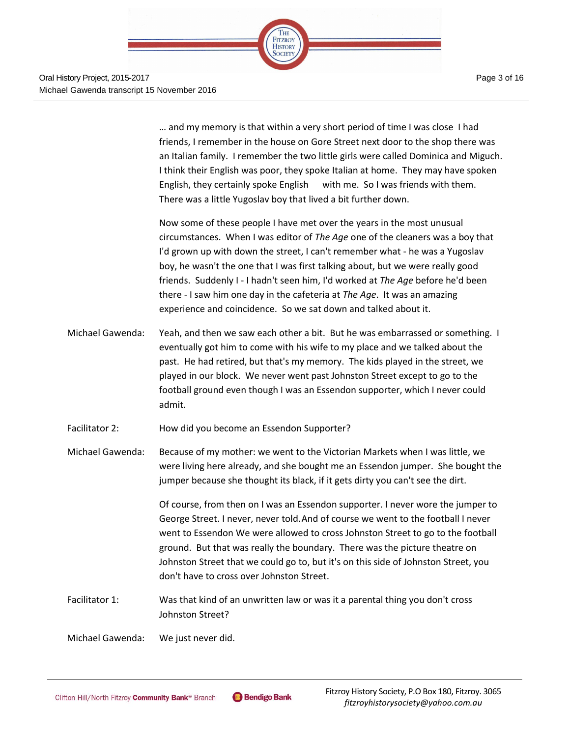

Page 3 of 16

… and my memory is that within a very short period of time I was close I had friends, I remember in the house on Gore Street next door to the shop there was an Italian family. I remember the two little girls were called Dominica and Miguch. I think their English was poor, they spoke Italian at home. They may have spoken English, they certainly spoke English with me. So I was friends with them. There was a little Yugoslav boy that lived a bit further down.

Now some of these people I have met over the years in the most unusual circumstances. When I was editor of *The Age* one of the cleaners was a boy that I'd grown up with down the street, I can't remember what - he was a Yugoslav boy, he wasn't the one that I was first talking about, but we were really good friends. Suddenly I - I hadn't seen him, I'd worked at *The Age* before he'd been there - I saw him one day in the cafeteria at *The Age*. It was an amazing experience and coincidence. So we sat down and talked about it.

- Michael Gawenda: Yeah, and then we saw each other a bit. But he was embarrassed or something. I eventually got him to come with his wife to my place and we talked about the past. He had retired, but that's my memory. The kids played in the street, we played in our block. We never went past Johnston Street except to go to the football ground even though I was an Essendon supporter, which I never could admit.
- Facilitator 2: How did you become an Essendon Supporter?
- Michael Gawenda: Because of my mother: we went to the Victorian Markets when I was little, we were living here already, and she bought me an Essendon jumper. She bought the jumper because she thought its black, if it gets dirty you can't see the dirt.

Of course, from then on I was an Essendon supporter. I never wore the jumper to George Street. I never, never told.And of course we went to the football I never went to Essendon We were allowed to cross Johnston Street to go to the football ground. But that was really the boundary. There was the picture theatre on Johnston Street that we could go to, but it's on this side of Johnston Street, you don't have to cross over Johnston Street.

- Facilitator 1: Was that kind of an unwritten law or was it a parental thing you don't cross Johnston Street?
- Michael Gawenda: We just never did.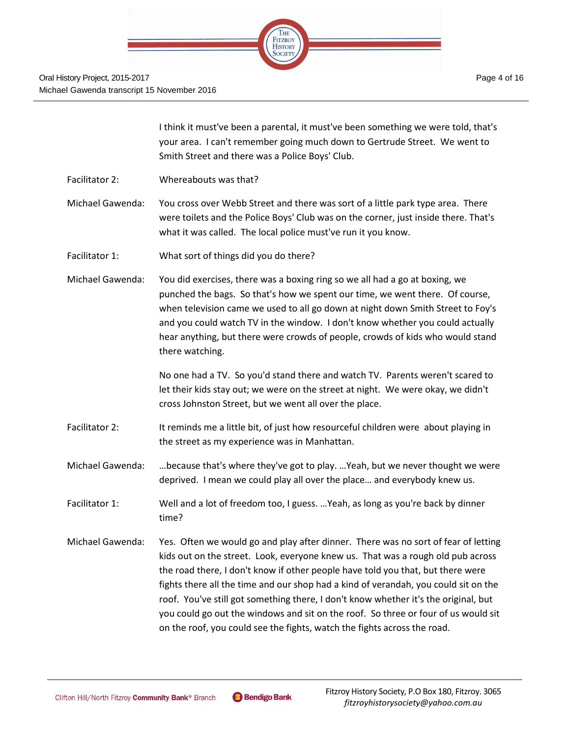

I think it must've been a parental, it must've been something we were told, that's your area. I can't remember going much down to Gertrude Street. We went to Smith Street and there was a Police Boys' Club.

Facilitator 2: Whereabouts was that?

Michael Gawenda: You cross over Webb Street and there was sort of a little park type area. There were toilets and the Police Boys' Club was on the corner, just inside there. That's what it was called. The local police must've run it you know.

Facilitator 1: What sort of things did you do there?

Michael Gawenda: You did exercises, there was a boxing ring so we all had a go at boxing, we punched the bags. So that's how we spent our time, we went there. Of course, when television came we used to all go down at night down Smith Street to Foy's and you could watch TV in the window. I don't know whether you could actually hear anything, but there were crowds of people, crowds of kids who would stand there watching.

> No one had a TV. So you'd stand there and watch TV. Parents weren't scared to let their kids stay out; we were on the street at night. We were okay, we didn't cross Johnston Street, but we went all over the place.

- Facilitator 2: It reminds me a little bit, of just how resourceful children were about playing in the street as my experience was in Manhattan.
- Michael Gawenda: …because that's where they've got to play. …Yeah, but we never thought we were deprived. I mean we could play all over the place… and everybody knew us.
- Facilitator 1: Well and a lot of freedom too, I guess. …Yeah, as long as you're back by dinner time?
- Michael Gawenda: Yes. Often we would go and play after dinner. There was no sort of fear of letting kids out on the street. Look, everyone knew us. That was a rough old pub across the road there, I don't know if other people have told you that, but there were fights there all the time and our shop had a kind of verandah, you could sit on the roof. You've still got something there, I don't know whether it's the original, but you could go out the windows and sit on the roof. So three or four of us would sit on the roof, you could see the fights, watch the fights across the road.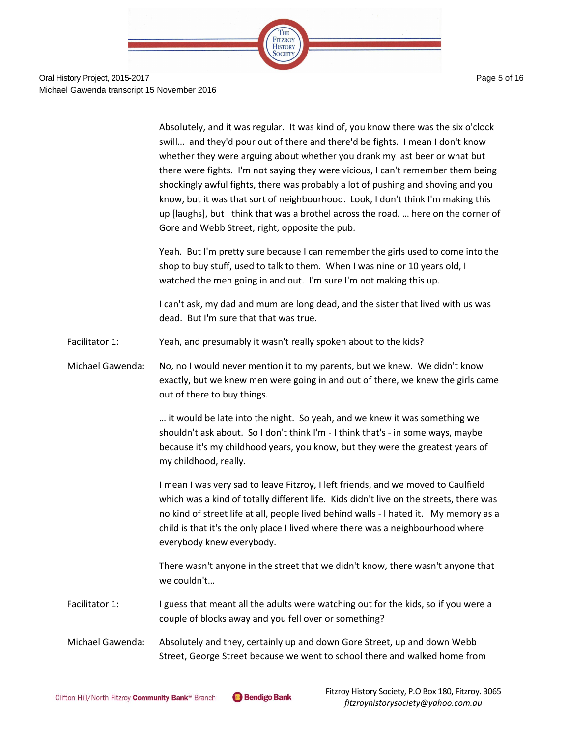

Absolutely, and it was regular. It was kind of, you know there was the six o'clock swill… and they'd pour out of there and there'd be fights. I mean I don't know whether they were arguing about whether you drank my last beer or what but there were fights. I'm not saying they were vicious, I can't remember them being shockingly awful fights, there was probably a lot of pushing and shoving and you know, but it was that sort of neighbourhood. Look, I don't think I'm making this up [laughs], but I think that was a brothel across the road. … here on the corner of Gore and Webb Street, right, opposite the pub.

Yeah. But I'm pretty sure because I can remember the girls used to come into the shop to buy stuff, used to talk to them. When I was nine or 10 years old, I watched the men going in and out. I'm sure I'm not making this up.

I can't ask, my dad and mum are long dead, and the sister that lived with us was dead. But I'm sure that that was true.

- Facilitator 1: Yeah, and presumably it wasn't really spoken about to the kids?
- Michael Gawenda: No, no I would never mention it to my parents, but we knew. We didn't know exactly, but we knew men were going in and out of there, we knew the girls came out of there to buy things.

… it would be late into the night. So yeah, and we knew it was something we shouldn't ask about. So I don't think I'm - I think that's - in some ways, maybe because it's my childhood years, you know, but they were the greatest years of my childhood, really.

I mean I was very sad to leave Fitzroy, I left friends, and we moved to Caulfield which was a kind of totally different life. Kids didn't live on the streets, there was no kind of street life at all, people lived behind walls - I hated it. My memory as a child is that it's the only place I lived where there was a neighbourhood where everybody knew everybody.

There wasn't anyone in the street that we didn't know, there wasn't anyone that we couldn't…

Facilitator 1: I guess that meant all the adults were watching out for the kids, so if you were a couple of blocks away and you fell over or something?

Michael Gawenda: Absolutely and they, certainly up and down Gore Street, up and down Webb Street, George Street because we went to school there and walked home from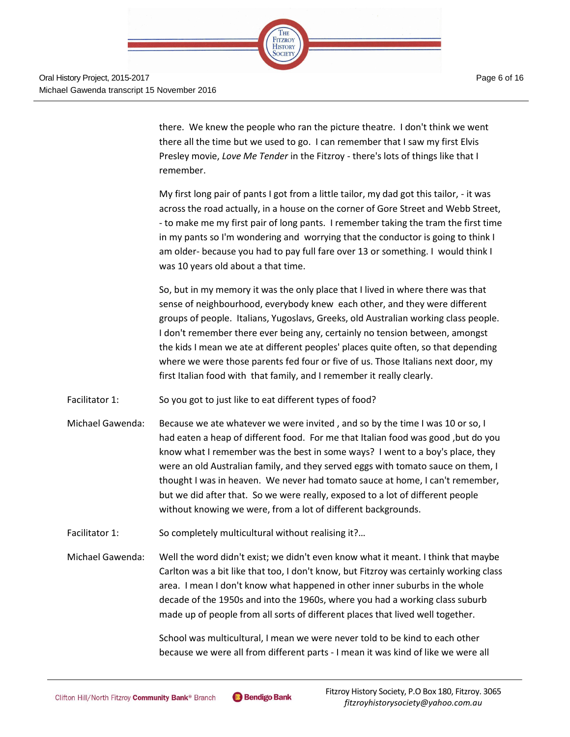

there. We knew the people who ran the picture theatre. I don't think we went there all the time but we used to go. I can remember that I saw my first Elvis Presley movie, *Love Me Tender* in the Fitzroy - there's lots of things like that I remember.

My first long pair of pants I got from a little tailor, my dad got this tailor, - it was across the road actually, in a house on the corner of Gore Street and Webb Street, - to make me my first pair of long pants. I remember taking the tram the first time in my pants so I'm wondering and worrying that the conductor is going to think I am older- because you had to pay full fare over 13 or something. I would think I was 10 years old about a that time.

So, but in my memory it was the only place that I lived in where there was that sense of neighbourhood, everybody knew each other, and they were different groups of people. Italians, Yugoslavs, Greeks, old Australian working class people. I don't remember there ever being any, certainly no tension between, amongst the kids I mean we ate at different peoples' places quite often, so that depending where we were those parents fed four or five of us. Those Italians next door, my first Italian food with that family, and I remember it really clearly.

- Facilitator 1: So you got to just like to eat different types of food?
- Michael Gawenda: Because we ate whatever we were invited, and so by the time I was 10 or so, I had eaten a heap of different food. For me that Italian food was good ,but do you know what I remember was the best in some ways? I went to a boy's place, they were an old Australian family, and they served eggs with tomato sauce on them, I thought I was in heaven. We never had tomato sauce at home, I can't remember, but we did after that. So we were really, exposed to a lot of different people without knowing we were, from a lot of different backgrounds.
- Facilitator 1: So completely multicultural without realising it?...
- Michael Gawenda: Well the word didn't exist; we didn't even know what it meant. I think that maybe Carlton was a bit like that too, I don't know, but Fitzroy was certainly working class area. I mean I don't know what happened in other inner suburbs in the whole decade of the 1950s and into the 1960s, where you had a working class suburb made up of people from all sorts of different places that lived well together.

School was multicultural, I mean we were never told to be kind to each other because we were all from different parts - I mean it was kind of like we were all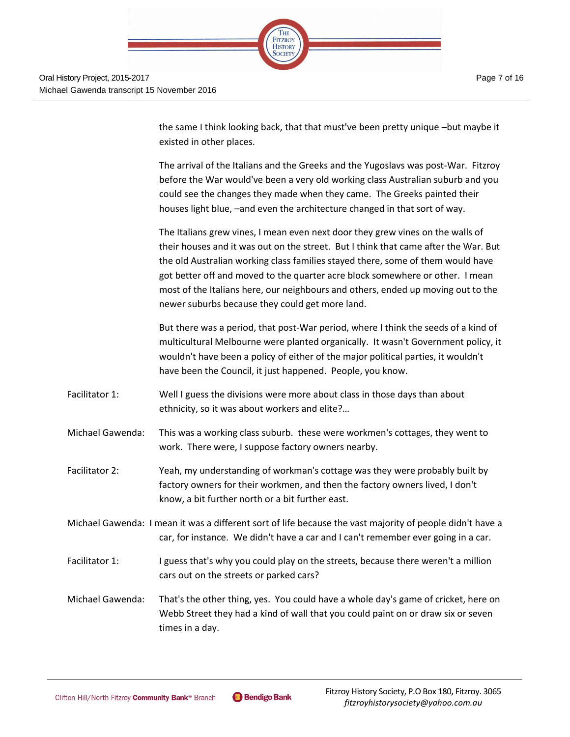

the same I think looking back, that that must've been pretty unique –but maybe it existed in other places.

The arrival of the Italians and the Greeks and the Yugoslavs was post-War. Fitzroy before the War would've been a very old working class Australian suburb and you could see the changes they made when they came. The Greeks painted their houses light blue, –and even the architecture changed in that sort of way.

The Italians grew vines, I mean even next door they grew vines on the walls of their houses and it was out on the street. But I think that came after the War. But the old Australian working class families stayed there, some of them would have got better off and moved to the quarter acre block somewhere or other. I mean most of the Italians here, our neighbours and others, ended up moving out to the newer suburbs because they could get more land.

But there was a period, that post-War period, where I think the seeds of a kind of multicultural Melbourne were planted organically. It wasn't Government policy, it wouldn't have been a policy of either of the major political parties, it wouldn't have been the Council, it just happened. People, you know.

- Facilitator 1: Well I guess the divisions were more about class in those days than about ethnicity, so it was about workers and elite?…
- Michael Gawenda: This was a working class suburb. these were workmen's cottages, they went to work. There were, I suppose factory owners nearby.
- Facilitator 2: Yeah, my understanding of workman's cottage was they were probably built by factory owners for their workmen, and then the factory owners lived, I don't know, a bit further north or a bit further east.
- Michael Gawenda: I mean it was a different sort of life because the vast majority of people didn't have a car, for instance. We didn't have a car and I can't remember ever going in a car.
- Facilitator 1: I guess that's why you could play on the streets, because there weren't a million cars out on the streets or parked cars?
- Michael Gawenda: That's the other thing, yes. You could have a whole day's game of cricket, here on Webb Street they had a kind of wall that you could paint on or draw six or seven times in a day.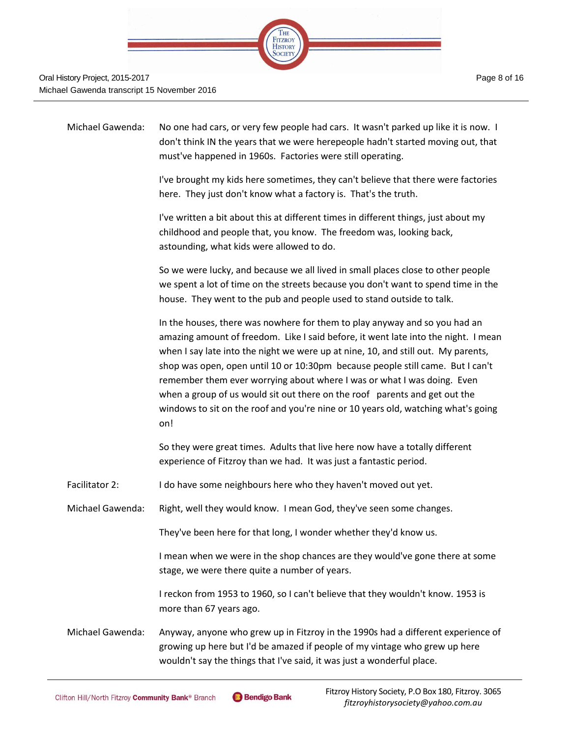

| Michael Gawenda:        | No one had cars, or very few people had cars. It wasn't parked up like it is now. I<br>don't think IN the years that we were herepeople hadn't started moving out, that<br>must've happened in 1960s. Factories were still operating.                                                                                                                                                                                                                                                                                                                                                        |
|-------------------------|----------------------------------------------------------------------------------------------------------------------------------------------------------------------------------------------------------------------------------------------------------------------------------------------------------------------------------------------------------------------------------------------------------------------------------------------------------------------------------------------------------------------------------------------------------------------------------------------|
|                         | I've brought my kids here sometimes, they can't believe that there were factories<br>here. They just don't know what a factory is. That's the truth.                                                                                                                                                                                                                                                                                                                                                                                                                                         |
|                         | I've written a bit about this at different times in different things, just about my<br>childhood and people that, you know. The freedom was, looking back,<br>astounding, what kids were allowed to do.                                                                                                                                                                                                                                                                                                                                                                                      |
|                         | So we were lucky, and because we all lived in small places close to other people<br>we spent a lot of time on the streets because you don't want to spend time in the<br>house. They went to the pub and people used to stand outside to talk.                                                                                                                                                                                                                                                                                                                                               |
|                         | In the houses, there was nowhere for them to play anyway and so you had an<br>amazing amount of freedom. Like I said before, it went late into the night. I mean<br>when I say late into the night we were up at nine, 10, and still out. My parents,<br>shop was open, open until 10 or 10:30pm because people still came. But I can't<br>remember them ever worrying about where I was or what I was doing. Even<br>when a group of us would sit out there on the roof parents and get out the<br>windows to sit on the roof and you're nine or 10 years old, watching what's going<br>on! |
|                         | So they were great times. Adults that live here now have a totally different<br>experience of Fitzroy than we had. It was just a fantastic period.                                                                                                                                                                                                                                                                                                                                                                                                                                           |
| Facilitator 2:          | I do have some neighbours here who they haven't moved out yet.                                                                                                                                                                                                                                                                                                                                                                                                                                                                                                                               |
| <b>Michael Gawenda:</b> | Right, well they would know. I mean God, they've seen some changes.                                                                                                                                                                                                                                                                                                                                                                                                                                                                                                                          |
|                         | They've been here for that long, I wonder whether they'd know us.                                                                                                                                                                                                                                                                                                                                                                                                                                                                                                                            |
|                         | I mean when we were in the shop chances are they would've gone there at some<br>stage, we were there quite a number of years.                                                                                                                                                                                                                                                                                                                                                                                                                                                                |
|                         | I reckon from 1953 to 1960, so I can't believe that they wouldn't know. 1953 is<br>more than 67 years ago.                                                                                                                                                                                                                                                                                                                                                                                                                                                                                   |
| Michael Gawenda:        | Anyway, anyone who grew up in Fitzroy in the 1990s had a different experience of<br>growing up here but I'd be amazed if people of my vintage who grew up here<br>wouldn't say the things that I've said, it was just a wonderful place.                                                                                                                                                                                                                                                                                                                                                     |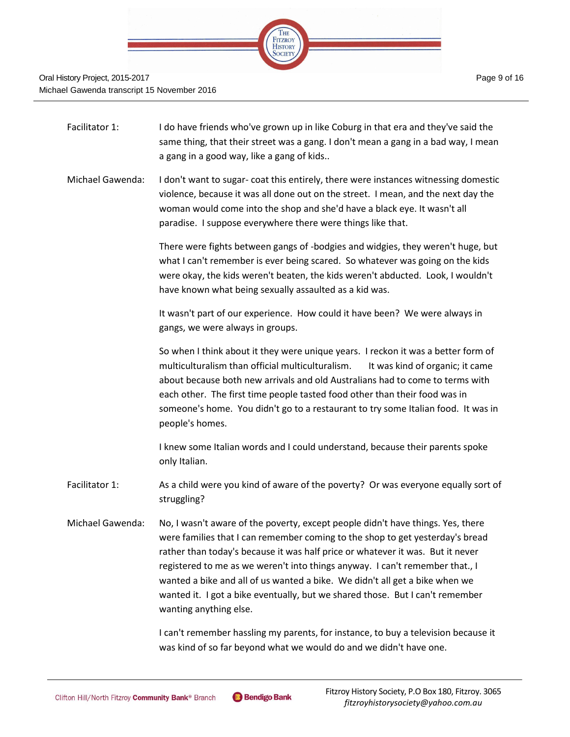

- Facilitator 1: I do have friends who've grown up in like Coburg in that era and they've said the same thing, that their street was a gang. I don't mean a gang in a bad way, I mean a gang in a good way, like a gang of kids..
- Michael Gawenda: I don't want to sugar- coat this entirely, there were instances witnessing domestic violence, because it was all done out on the street. I mean, and the next day the woman would come into the shop and she'd have a black eye. It wasn't all paradise. I suppose everywhere there were things like that.

There were fights between gangs of -bodgies and widgies, they weren't huge, but what I can't remember is ever being scared. So whatever was going on the kids were okay, the kids weren't beaten, the kids weren't abducted. Look, I wouldn't have known what being sexually assaulted as a kid was.

It wasn't part of our experience. How could it have been? We were always in gangs, we were always in groups.

So when I think about it they were unique years. I reckon it was a better form of multiculturalism than official multiculturalism. It was kind of organic; it came about because both new arrivals and old Australians had to come to terms with each other. The first time people tasted food other than their food was in someone's home. You didn't go to a restaurant to try some Italian food. It was in people's homes.

I knew some Italian words and I could understand, because their parents spoke only Italian.

- Facilitator 1: As a child were you kind of aware of the poverty? Or was everyone equally sort of struggling?
- Michael Gawenda: No, I wasn't aware of the poverty, except people didn't have things. Yes, there were families that I can remember coming to the shop to get yesterday's bread rather than today's because it was half price or whatever it was. But it never registered to me as we weren't into things anyway. I can't remember that., I wanted a bike and all of us wanted a bike. We didn't all get a bike when we wanted it. I got a bike eventually, but we shared those. But I can't remember wanting anything else.

I can't remember hassling my parents, for instance, to buy a television because it was kind of so far beyond what we would do and we didn't have one.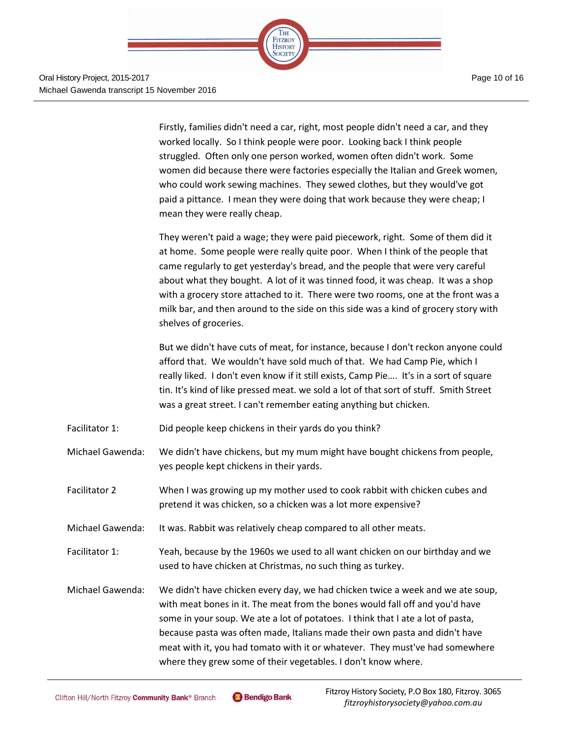

Page 10 of 16

Firstly, families didn't need a car, right, most people didn't need a car, and they worked locally. So I think people were poor. Looking back I think people struggled. Often only one person worked, women often didn't work. Some women did because there were factories especially the Italian and Greek women, who could work sewing machines. They sewed clothes, but they would've got paid a pittance. I mean they were doing that work because they were cheap; I mean they were really cheap.

They weren't paid a wage; they were paid piecework, right. Some of them did it at home. Some people were really quite poor. When I think of the people that came regularly to get yesterday's bread, and the people that were very careful about what they bought. A lot of it was tinned food, it was cheap. It was a shop with a grocery store attached to it. There were two rooms, one at the front was a milk bar, and then around to the side on this side was a kind of grocery story with shelves of groceries.

But we didn't have cuts of meat, for instance, because I don't reckon anyone could afford that. We wouldn't have sold much of that. We had Camp Pie, which I really liked. I don't even know if it still exists, Camp Pie…. It's in a sort of square tin. It's kind of like pressed meat. we sold a lot of that sort of stuff. Smith Street was a great street. I can't remember eating anything but chicken.

- Facilitator 1: Did people keep chickens in their yards do you think?
- Michael Gawenda: We didn't have chickens, but my mum might have bought chickens from people, yes people kept chickens in their yards.
- Facilitator 2 When I was growing up my mother used to cook rabbit with chicken cubes and pretend it was chicken, so a chicken was a lot more expensive?
- Michael Gawenda: It was. Rabbit was relatively cheap compared to all other meats.
- Facilitator 1: Yeah, because by the 1960s we used to all want chicken on our birthday and we used to have chicken at Christmas, no such thing as turkey.
- Michael Gawenda: We didn't have chicken every day, we had chicken twice a week and we ate soup, with meat bones in it. The meat from the bones would fall off and you'd have some in your soup. We ate a lot of potatoes. I think that I ate a lot of pasta, because pasta was often made, Italians made their own pasta and didn't have meat with it, you had tomato with it or whatever. They must've had somewhere where they grew some of their vegetables. I don't know where.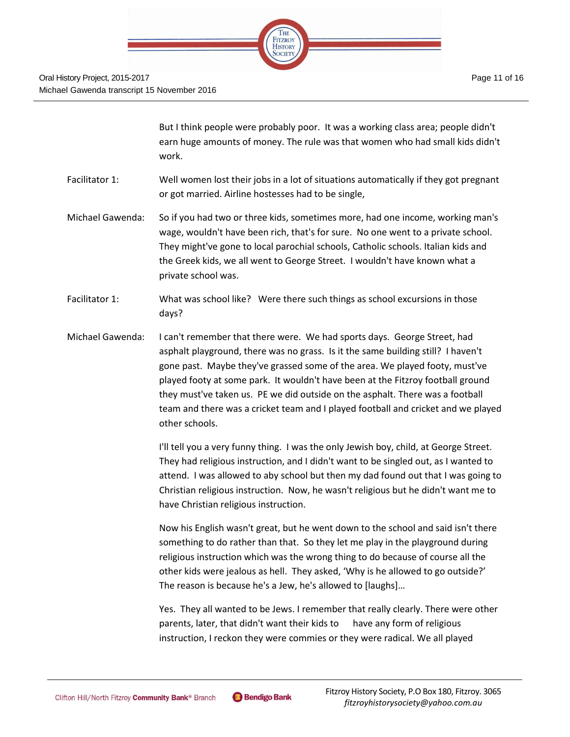

But I think people were probably poor. It was a working class area; people didn't earn huge amounts of money. The rule was that women who had small kids didn't work.

- Facilitator 1: Well women lost their jobs in a lot of situations automatically if they got pregnant or got married. Airline hostesses had to be single,
- Michael Gawenda: So if you had two or three kids, sometimes more, had one income, working man's wage, wouldn't have been rich, that's for sure. No one went to a private school. They might've gone to local parochial schools, Catholic schools. Italian kids and the Greek kids, we all went to George Street. I wouldn't have known what a private school was.
- Facilitator 1: What was school like? Were there such things as school excursions in those days?
- Michael Gawenda: I can't remember that there were. We had sports days. George Street, had asphalt playground, there was no grass. Is it the same building still? I haven't gone past. Maybe they've grassed some of the area. We played footy, must've played footy at some park. It wouldn't have been at the Fitzroy football ground they must've taken us. PE we did outside on the asphalt. There was a football team and there was a cricket team and I played football and cricket and we played other schools.

I'll tell you a very funny thing. I was the only Jewish boy, child, at George Street. They had religious instruction, and I didn't want to be singled out, as I wanted to attend. I was allowed to aby school but then my dad found out that I was going to Christian religious instruction. Now, he wasn't religious but he didn't want me to have Christian religious instruction.

Now his English wasn't great, but he went down to the school and said isn't there something to do rather than that. So they let me play in the playground during religious instruction which was the wrong thing to do because of course all the other kids were jealous as hell. They asked, 'Why is he allowed to go outside?' The reason is because he's a Jew, he's allowed to [laughs]…

Yes. They all wanted to be Jews. I remember that really clearly. There were other parents, later, that didn't want their kids to have any form of religious instruction, I reckon they were commies or they were radical. We all played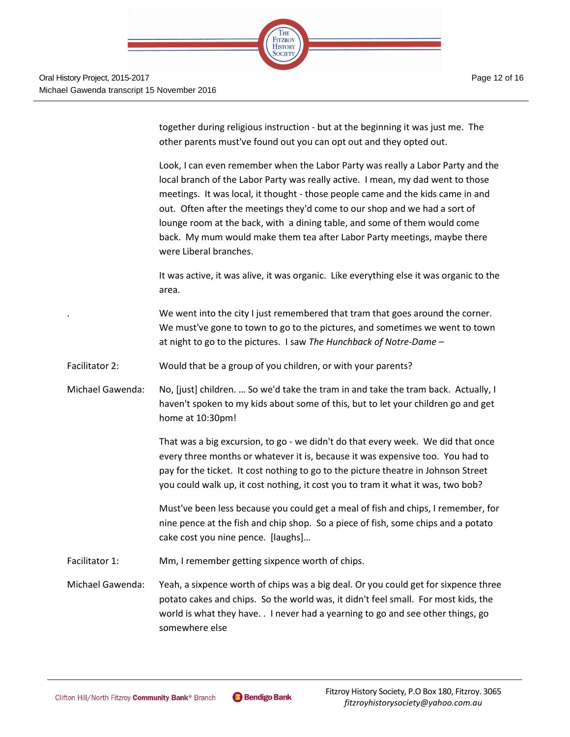

together during religious instruction - but at the beginning it was just me. The other parents must've found out you can opt out and they opted out.

Look, I can even remember when the Labor Party was really a Labor Party and the local branch of the Labor Party was really active. I mean, my dad went to those meetings. It was local, it thought - those people came and the kids came in and out. Often after the meetings they'd come to our shop and we had a sort of lounge room at the back, with a dining table, and some of them would come back. My mum would make them tea after Labor Party meetings, maybe there were Liberal branches.

It was active, it was alive, it was organic. Like everything else it was organic to the area.

We went into the city I just remembered that tram that goes around the corner. We must've gone to town to go to the pictures, and sometimes we went to town at night to go to the pictures. I saw *The Hunchback of Notre-Dame* –

Facilitator 2: Would that be a group of you children, or with your parents?

Michael Gawenda: No, [just] children. … So we'd take the tram in and take the tram back. Actually, I haven't spoken to my kids about some of this, but to let your children go and get home at 10:30pm!

> That was a big excursion, to go - we didn't do that every week. We did that once every three months or whatever it is, because it was expensive too. You had to pay for the ticket. It cost nothing to go to the picture theatre in Johnson Street you could walk up, it cost nothing, it cost you to tram it what it was, two bob?

Must've been less because you could get a meal of fish and chips, I remember, for nine pence at the fish and chip shop. So a piece of fish, some chips and a potato cake cost you nine pence. [laughs]…

Facilitator 1: Mm, I remember getting sixpence worth of chips.

Michael Gawenda: Yeah, a sixpence worth of chips was a big deal. Or you could get for sixpence three potato cakes and chips. So the world was, it didn't feel small. For most kids, the world is what they have. . I never had a yearning to go and see other things, go somewhere else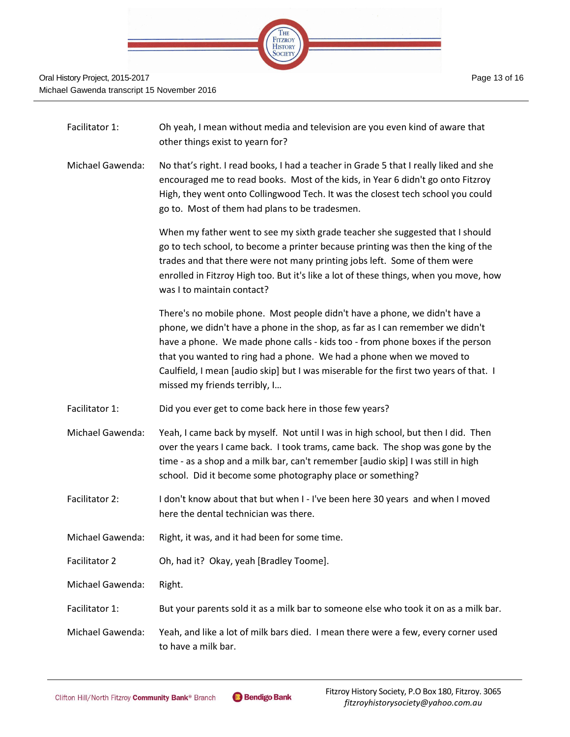

| Facilitator 1:   | Oh yeah, I mean without media and television are you even kind of aware that<br>other things exist to yearn for?                                                                                                                                                                                                                                                                                                                               |
|------------------|------------------------------------------------------------------------------------------------------------------------------------------------------------------------------------------------------------------------------------------------------------------------------------------------------------------------------------------------------------------------------------------------------------------------------------------------|
| Michael Gawenda: | No that's right. I read books, I had a teacher in Grade 5 that I really liked and she<br>encouraged me to read books. Most of the kids, in Year 6 didn't go onto Fitzroy<br>High, they went onto Collingwood Tech. It was the closest tech school you could<br>go to. Most of them had plans to be tradesmen.                                                                                                                                  |
|                  | When my father went to see my sixth grade teacher she suggested that I should<br>go to tech school, to become a printer because printing was then the king of the<br>trades and that there were not many printing jobs left. Some of them were<br>enrolled in Fitzroy High too. But it's like a lot of these things, when you move, how<br>was I to maintain contact?                                                                          |
|                  | There's no mobile phone. Most people didn't have a phone, we didn't have a<br>phone, we didn't have a phone in the shop, as far as I can remember we didn't<br>have a phone. We made phone calls - kids too - from phone boxes if the person<br>that you wanted to ring had a phone. We had a phone when we moved to<br>Caulfield, I mean [audio skip] but I was miserable for the first two years of that. I<br>missed my friends terribly, I |
| Facilitator 1:   | Did you ever get to come back here in those few years?                                                                                                                                                                                                                                                                                                                                                                                         |
| Michael Gawenda: | Yeah, I came back by myself. Not until I was in high school, but then I did. Then<br>over the years I came back. I took trams, came back. The shop was gone by the<br>time - as a shop and a milk bar, can't remember [audio skip] I was still in high<br>school. Did it become some photography place or something?                                                                                                                           |
| Facilitator 2:   | I don't know about that but when I - I've been here 30 years and when I moved<br>here the dental technician was there.                                                                                                                                                                                                                                                                                                                         |
| Michael Gawenda: | Right, it was, and it had been for some time.                                                                                                                                                                                                                                                                                                                                                                                                  |
| Facilitator 2    | Oh, had it? Okay, yeah [Bradley Toome].                                                                                                                                                                                                                                                                                                                                                                                                        |
| Michael Gawenda: | Right.                                                                                                                                                                                                                                                                                                                                                                                                                                         |
| Facilitator 1:   | But your parents sold it as a milk bar to someone else who took it on as a milk bar.                                                                                                                                                                                                                                                                                                                                                           |
| Michael Gawenda: | Yeah, and like a lot of milk bars died. I mean there were a few, every corner used<br>to have a milk bar.                                                                                                                                                                                                                                                                                                                                      |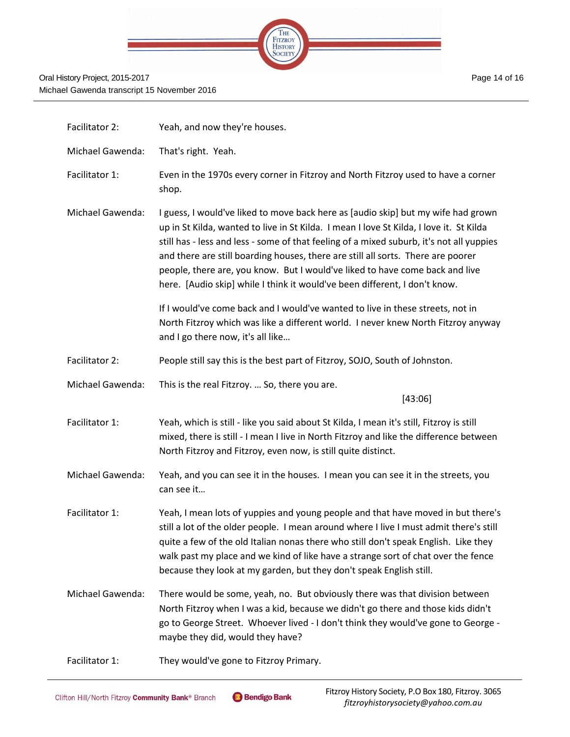|  | THE                              |  |  |
|--|----------------------------------|--|--|
|  | <b>FITZROY</b><br><b>HISTORY</b> |  |  |
|  |                                  |  |  |

| Facilitator 2:   | Yeah, and now they're houses.                                                                                                                                                                                                                                                                                                                                                                                                                                                                                              |
|------------------|----------------------------------------------------------------------------------------------------------------------------------------------------------------------------------------------------------------------------------------------------------------------------------------------------------------------------------------------------------------------------------------------------------------------------------------------------------------------------------------------------------------------------|
| Michael Gawenda: | That's right. Yeah.                                                                                                                                                                                                                                                                                                                                                                                                                                                                                                        |
| Facilitator 1:   | Even in the 1970s every corner in Fitzroy and North Fitzroy used to have a corner<br>shop.                                                                                                                                                                                                                                                                                                                                                                                                                                 |
| Michael Gawenda: | I guess, I would've liked to move back here as [audio skip] but my wife had grown<br>up in St Kilda, wanted to live in St Kilda. I mean I love St Kilda, I love it. St Kilda<br>still has - less and less - some of that feeling of a mixed suburb, it's not all yuppies<br>and there are still boarding houses, there are still all sorts. There are poorer<br>people, there are, you know. But I would've liked to have come back and live<br>here. [Audio skip] while I think it would've been different, I don't know. |
|                  | If I would've come back and I would've wanted to live in these streets, not in<br>North Fitzroy which was like a different world. I never knew North Fitzroy anyway<br>and I go there now, it's all like                                                                                                                                                                                                                                                                                                                   |
| Facilitator 2:   | People still say this is the best part of Fitzroy, SOJO, South of Johnston.                                                                                                                                                                                                                                                                                                                                                                                                                                                |
| Michael Gawenda: | This is the real Fitzroy.  So, there you are.<br>[43:06]                                                                                                                                                                                                                                                                                                                                                                                                                                                                   |
| Facilitator 1:   | Yeah, which is still - like you said about St Kilda, I mean it's still, Fitzroy is still<br>mixed, there is still - I mean I live in North Fitzroy and like the difference between<br>North Fitzroy and Fitzroy, even now, is still quite distinct.                                                                                                                                                                                                                                                                        |
| Michael Gawenda: | Yeah, and you can see it in the houses. I mean you can see it in the streets, you<br>can see it                                                                                                                                                                                                                                                                                                                                                                                                                            |
| Facilitator 1:   | Yeah, I mean lots of yuppies and young people and that have moved in but there's<br>still a lot of the older people. I mean around where I live I must admit there's still<br>quite a few of the old Italian nonas there who still don't speak English. Like they<br>walk past my place and we kind of like have a strange sort of chat over the fence<br>because they look at my garden, but they don't speak English still.                                                                                              |
| Michael Gawenda: | There would be some, yeah, no. But obviously there was that division between<br>North Fitzroy when I was a kid, because we didn't go there and those kids didn't<br>go to George Street. Whoever lived - I don't think they would've gone to George -<br>maybe they did, would they have?                                                                                                                                                                                                                                  |
| Facilitator 1:   | They would've gone to Fitzroy Primary.                                                                                                                                                                                                                                                                                                                                                                                                                                                                                     |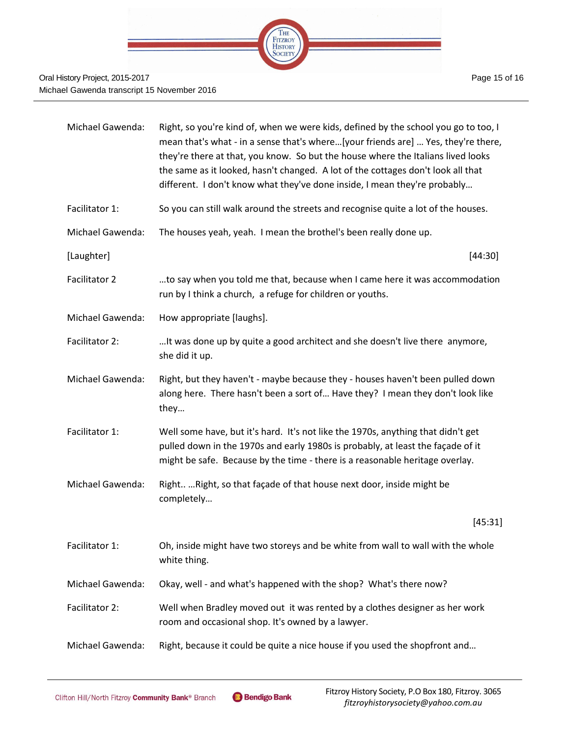

| <b>Michael Gawenda:</b> | Right, so you're kind of, when we were kids, defined by the school you go to too, I<br>mean that's what - in a sense that's where[your friends are]  Yes, they're there,<br>they're there at that, you know. So but the house where the Italians lived looks<br>the same as it looked, hasn't changed. A lot of the cottages don't look all that<br>different. I don't know what they've done inside, I mean they're probably |
|-------------------------|-------------------------------------------------------------------------------------------------------------------------------------------------------------------------------------------------------------------------------------------------------------------------------------------------------------------------------------------------------------------------------------------------------------------------------|
| Facilitator 1:          | So you can still walk around the streets and recognise quite a lot of the houses.                                                                                                                                                                                                                                                                                                                                             |
| <b>Michael Gawenda:</b> | The houses yeah, yeah. I mean the brothel's been really done up.                                                                                                                                                                                                                                                                                                                                                              |
| [Laughter]              | [44:30]                                                                                                                                                                                                                                                                                                                                                                                                                       |
| Facilitator 2           | to say when you told me that, because when I came here it was accommodation<br>run by I think a church, a refuge for children or youths.                                                                                                                                                                                                                                                                                      |
| Michael Gawenda:        | How appropriate [laughs].                                                                                                                                                                                                                                                                                                                                                                                                     |
| Facilitator 2:          | It was done up by quite a good architect and she doesn't live there anymore,<br>she did it up.                                                                                                                                                                                                                                                                                                                                |
| <b>Michael Gawenda:</b> | Right, but they haven't - maybe because they - houses haven't been pulled down<br>along here. There hasn't been a sort of Have they? I mean they don't look like<br>they                                                                                                                                                                                                                                                      |
| Facilitator 1:          | Well some have, but it's hard. It's not like the 1970s, anything that didn't get<br>pulled down in the 1970s and early 1980s is probably, at least the façade of it<br>might be safe. Because by the time - there is a reasonable heritage overlay.                                                                                                                                                                           |
| <b>Michael Gawenda:</b> | Right  Right, so that façade of that house next door, inside might be<br>completely                                                                                                                                                                                                                                                                                                                                           |
|                         | [45:31]                                                                                                                                                                                                                                                                                                                                                                                                                       |
| Facilitator 1:          | Oh, inside might have two storeys and be white from wall to wall with the whole<br>white thing.                                                                                                                                                                                                                                                                                                                               |
| Michael Gawenda:        | Okay, well - and what's happened with the shop? What's there now?                                                                                                                                                                                                                                                                                                                                                             |
| Facilitator 2:          | Well when Bradley moved out it was rented by a clothes designer as her work<br>room and occasional shop. It's owned by a lawyer.                                                                                                                                                                                                                                                                                              |
| Michael Gawenda:        | Right, because it could be quite a nice house if you used the shopfront and                                                                                                                                                                                                                                                                                                                                                   |